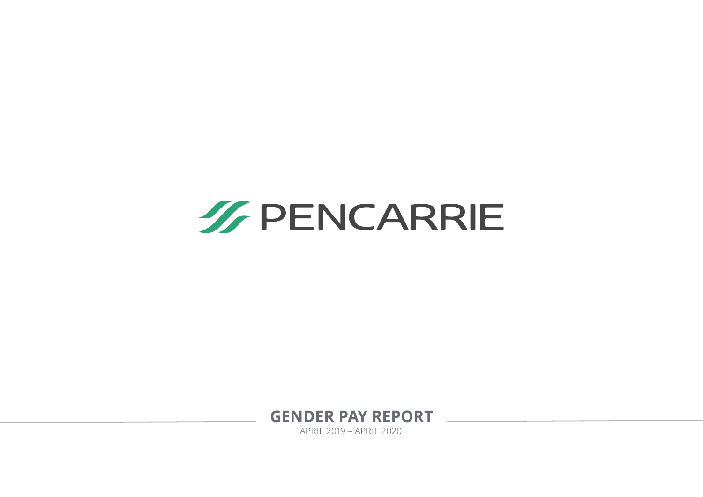

**GENDER PAY REPORT** 

APRIL 2019 – APRIL 2020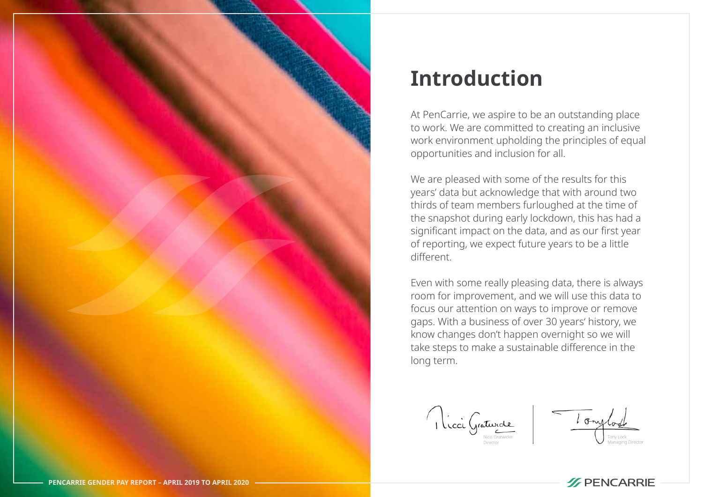

# **Introduction**

At PenCarrie, we aspire to be an outstanding place to work. We are committed to creating an inclusive work environment upholding the principles of equal opportunities and inclusion for all.

We are pleased with some of the results for this years' data but acknowledge that with around two thirds of team members furloughed at the time of the snapshot during early lockdown, this has had a significant impact on the data, and as our first year of reporting, we expect future years to be a little different.

Even with some really pleasing data, there is always room for improvement, and we will use this data to focus our attention on ways to improve or remove gaps. With a business of over 30 years' history, we know changes don't happen overnight so we will take steps to make a sustainable difference in the long term.

Nicci Graturde Director

Tony Lock Managing Director

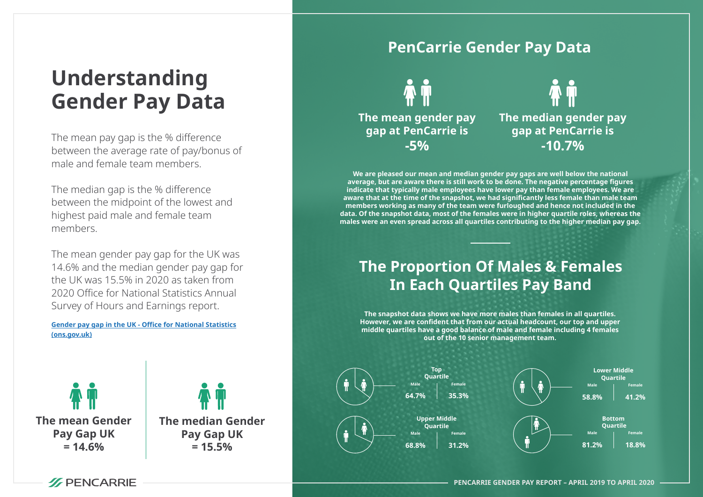# **Understanding Gender Pay Data**

The mean pay gap is the % difference between the average rate of pay/bonus of male and female team members.

The median gap is the % difference between the midpoint of the lowest and highest paid male and female team members.

The mean gender pay gap for the UK was 14.6% and the median gender pay gap for the UK was 15.5% in 2020 as taken from 2020 Office for National Statistics Annual Survey of Hours and Earnings report.

**[Gender pay gap in the UK - Office for National Statistics](https://www.ons.gov.uk/employmentandlabourmarket/peopleinwork/earningsandworkinghours/bulletins/genderpaygapintheuk/2020)  (ons.gov.uk)**

**The mean Gender Pay Gap UK**  $= 14.6%$ 



#### **PenCarrie Gender Pay Data**



**The median gender pay gap at PenCarrie is -10.7%**

**We are pleased our mean and median gender pay gaps are well below the national average, but are aware there is still work to be done. The negative percentage figures indicate that typically male employees have lower pay than female employees. We are aware that at the time of the snapshot, we had significantly less female than male team members working as many of the team were furloughed and hence not included in the data. Of the snapshot data, most of the females were in higher quartile roles, whereas the males were an even spread across all quartiles contributing to the higher median pay gap.**

### **The Proportion Of Males & Females In Each Quartiles Pay Band**

**The snapshot data shows we have more males than females in all quartiles. However, we are confident that from our actual headcount, our top and upper middle quartiles have a good balance of male and female including 4 females out of the 10 senior management team.**



![](_page_2_Picture_14.jpeg)